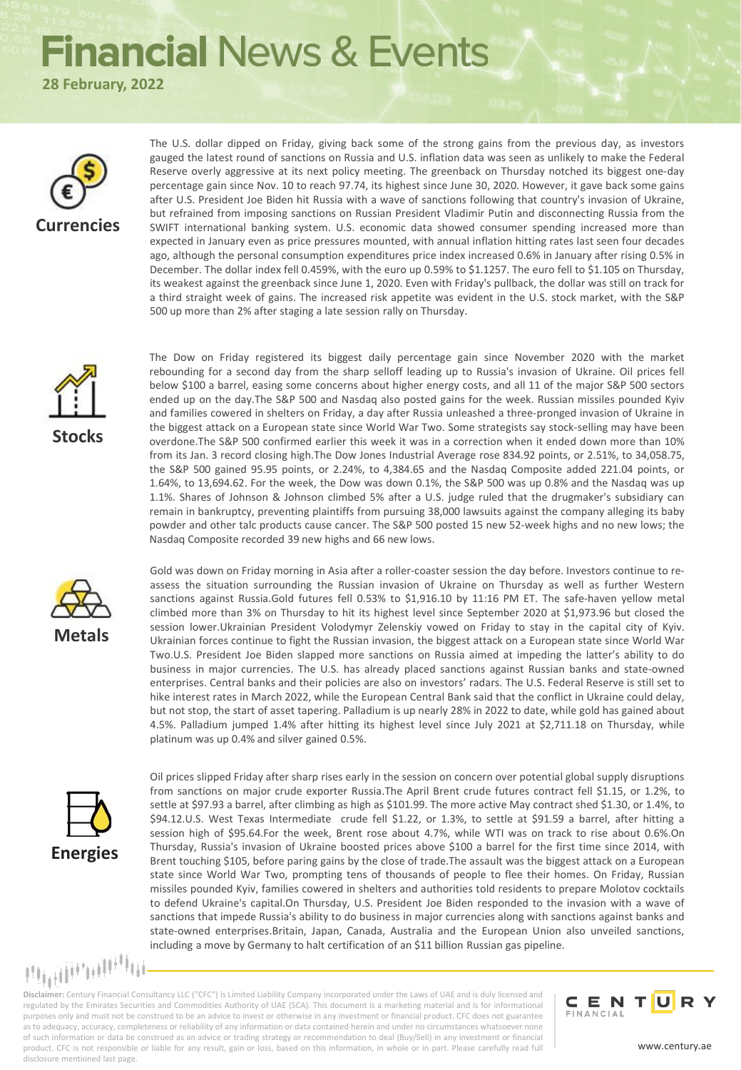## **Financial News & Events**

**28 February, 2022**



The U.S. dollar dipped on Friday, giving back some of the strong gains from the previous day, as investors gauged the latest round of sanctions on Russia and U.S. inflation data was seen as unlikely to make the Federal Reserve overly aggressive at its next policy meeting. The greenback on Thursday notched its biggest one-day percentage gain since Nov. 10 to reach 97.74, its highest since June 30, 2020. However, it gave back some gains after U.S. President Joe Biden hit Russia with a wave of sanctions following that country's invasion of Ukraine, but refrained from imposing sanctions on Russian President Vladimir Putin and disconnecting Russia from the SWIFT international banking system. U.S. economic data showed consumer spending increased more than expected in January even as price pressures mounted, with annual inflation hitting rates last seen four decades ago, although the personal consumption expenditures price index increased 0.6% in January after rising 0.5% in December. The dollar index fell 0.459%, with the euro up 0.59% to \$1.1257. The euro fell to \$1.105 on Thursday, its weakest against the greenback since June 1, 2020. Even with Friday's pullback, the dollar was still on track for a third straight week of gains. The increased risk appetite was evident in the U.S. stock market, with the S&P 500 up more than 2% after staging a late session rally on Thursday.



The Dow on Friday registered its biggest daily percentage gain since November 2020 with the market rebounding for a second day from the sharp selloff leading up to Russia's invasion of Ukraine. Oil prices fell below \$100 a barrel, easing some concerns about higher energy costs, and all 11 of the major S&P 500 sectors ended up on the day.The S&P 500 and Nasdaq also posted gains for the week. Russian missiles pounded Kyiv and families cowered in shelters on Friday, a day after Russia unleashed a three-pronged invasion of Ukraine in the biggest attack on a European state since World War Two. Some strategists say stock-selling may have been overdone.The S&P 500 confirmed earlier this week it was in a correction when it ended down more than 10% from its Jan. 3 record closing high.The Dow Jones Industrial Average rose 834.92 points, or 2.51%, to 34,058.75, the S&P 500 gained 95.95 points, or 2.24%, to 4,384.65 and the Nasdaq Composite added 221.04 points, or 1.64%, to 13,694.62. For the week, the Dow was down 0.1%, the S&P 500 was up 0.8% and the Nasdaq was up 1.1%. Shares of Johnson & Johnson climbed 5% after a U.S. judge ruled that the drugmaker's subsidiary can remain in bankruptcy, preventing plaintiffs from pursuing 38,000 lawsuits against the company alleging its baby powder and other talc products cause cancer. The S&P 500 posted 15 new 52-week highs and no new lows; the Nasdaq Composite recorded 39 new highs and 66 new lows.



Gold was down on Friday morning in Asia after a roller-coaster session the day before. Investors continue to reassess the situation surrounding the Russian invasion of Ukraine on Thursday as well as further Western sanctions against Russia.Gold futures fell 0.53% to \$1,916.10 by 11:16 PM ET. The safe-haven yellow metal climbed more than 3% on Thursday to hit its highest level since September 2020 at \$1,973.96 but closed the session lower.Ukrainian President Volodymyr Zelenskiy vowed on Friday to stay in the capital city of Kyiv. Ukrainian forces continue to fight the Russian invasion, the biggest attack on a European state since World War Two.U.S. President Joe Biden slapped more sanctions on Russia aimed at impeding the latter's ability to do business in major currencies. The U.S. has already placed sanctions against Russian banks and state-owned enterprises. Central banks and their policies are also on investors' radars. The U.S. Federal Reserve is still set to hike interest rates in March 2022, while the European Central Bank said that the conflict in Ukraine could delay, but not stop, the start of asset tapering. Palladium is up nearly 28% in 2022 to date, while gold has gained about 4.5%. Palladium jumped 1.4% after hitting its highest level since July 2021 at \$2,711.18 on Thursday, while platinum was up 0.4% and silver gained 0.5%.



Oil prices slipped Friday after sharp rises early in the session on concern over potential global supply disruptions from sanctions on major crude exporter Russia.The April Brent crude futures contract fell \$1.15, or 1.2%, to settle at \$97.93 a barrel, after climbing as high as \$101.99. The more active May contract shed \$1.30, or 1.4%, to \$94.12.U.S. West Texas Intermediate crude fell \$1.22, or 1.3%, to settle at \$91.59 a barrel, after hitting a session high of \$95.64.For the week, Brent rose about 4.7%, while WTI was on track to rise about 0.6%.On Thursday, Russia's invasion of Ukraine boosted prices above \$100 a barrel for the first time since 2014, with Brent touching \$105, before paring gains by the close of trade.The assault was the biggest attack on a European state since World War Two, prompting tens of thousands of people to flee their homes. On Friday, Russian missiles pounded Kyiv, families cowered in shelters and authorities told residents to prepare Molotov cocktails to defend Ukraine's capital.On Thursday, U.S. President Joe Biden responded to the invasion with a wave of sanctions that impede Russia's ability to do business in major currencies along with sanctions against banks and state-owned enterprises.Britain, Japan, Canada, Australia and the European Union also unveiled sanctions, including a move by Germany to halt certification of an \$11 billion Russian gas pipeline.

mammulin

**Disclaimer:** Century Financial Consultancy LLC ("CFC") is Limited Liability Company incorporated under the Laws of UAE and is duly licensed and regulated by the Emirates Securities and Commodities Authority of UAE (SCA). This document is a marketing material and is for informational purposes only and must not be construed to be an advice to invest or otherwise in any investment or financial product. CFC does not guarantee as to adequacy, accuracy, completeness or reliability of any information or data contained herein and under no circumstances whatsoever none of such information or data be construed as an advice or trading strategy or recommendation to deal (Buy/Sell) in any investment or financial product. CFC is not responsible or liable for any result, gain or loss, based on this information, in whole or in part. Please carefully read full disclosure mentioned last page.

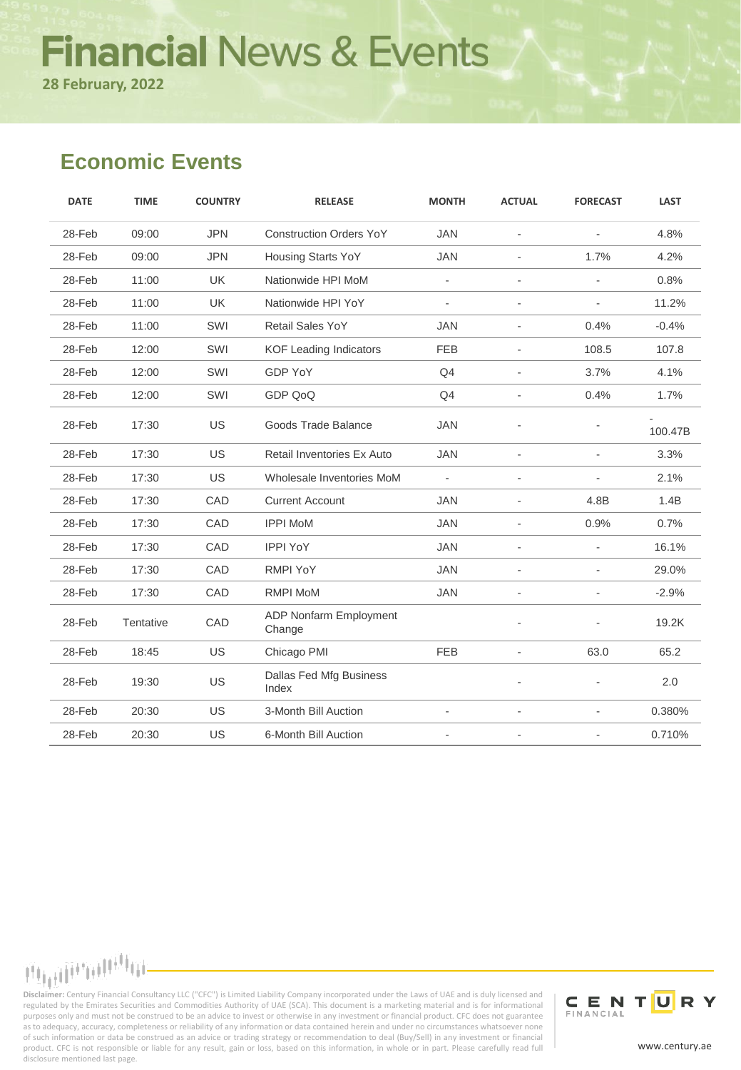# **Financial News & Events**

**28 February, 2022**

### **Economic Events**

| <b>DATE</b> | <b>TIME</b> | <b>COUNTRY</b> | <b>RELEASE</b>                          | <b>MONTH</b> | <b>ACTUAL</b>            | <b>FORECAST</b>          | <b>LAST</b> |
|-------------|-------------|----------------|-----------------------------------------|--------------|--------------------------|--------------------------|-------------|
| 28-Feb      | 09:00       | <b>JPN</b>     | <b>Construction Orders YoY</b>          | <b>JAN</b>   | $\mathbf{r}$             | $\sim$                   | 4.8%        |
| 28-Feb      | 09:00       | <b>JPN</b>     | <b>Housing Starts YoY</b>               | <b>JAN</b>   | $\blacksquare$           | 1.7%                     | 4.2%        |
| 28-Feb      | 11:00       | <b>UK</b>      | Nationwide HPI MoM                      | $\mathbf{r}$ |                          | $\sim$                   | 0.8%        |
| 28-Feb      | 11:00       | <b>UK</b>      | Nationwide HPI YoY                      | $\bar{a}$    |                          | $\overline{\phantom{a}}$ | 11.2%       |
| 28-Feb      | 11:00       | SWI            | Retail Sales YoY                        | <b>JAN</b>   |                          | 0.4%                     | $-0.4%$     |
| 28-Feb      | 12:00       | SWI            | <b>KOF Leading Indicators</b>           | <b>FEB</b>   | $\blacksquare$           | 108.5                    | 107.8       |
| 28-Feb      | 12:00       | SWI            | GDP YoY                                 | Q4           |                          | 3.7%                     | 4.1%        |
| 28-Feb      | 12:00       | SWI            | GDP QoQ                                 | Q4           | $\overline{\phantom{a}}$ | 0.4%                     | 1.7%        |
| 28-Feb      | 17:30       | <b>US</b>      | Goods Trade Balance                     | <b>JAN</b>   |                          |                          | 100.47B     |
| 28-Feb      | 17:30       | <b>US</b>      | Retail Inventories Ex Auto              | <b>JAN</b>   |                          | ÷.                       | 3.3%        |
| 28-Feb      | 17:30       | <b>US</b>      | Wholesale Inventories MoM               | $\sim$       |                          | $\blacksquare$           | 2.1%        |
| 28-Feb      | 17:30       | CAD            | <b>Current Account</b>                  | <b>JAN</b>   | $\blacksquare$           | 4.8B                     | 1.4B        |
| 28-Feb      | 17:30       | CAD            | <b>IPPI MoM</b>                         | <b>JAN</b>   | ÷.                       | 0.9%                     | 0.7%        |
| 28-Feb      | 17:30       | CAD            | <b>IPPI YoY</b>                         | <b>JAN</b>   |                          |                          | 16.1%       |
| 28-Feb      | 17:30       | CAD            | <b>RMPI YoY</b>                         | <b>JAN</b>   |                          |                          | 29.0%       |
| 28-Feb      | 17:30       | CAD            | <b>RMPI MoM</b>                         | <b>JAN</b>   |                          |                          | $-2.9%$     |
| 28-Feb      | Tentative   | CAD            | <b>ADP Nonfarm Employment</b><br>Change |              |                          |                          | 19.2K       |
| 28-Feb      | 18:45       | <b>US</b>      | Chicago PMI                             | <b>FEB</b>   |                          | 63.0                     | 65.2        |
| 28-Feb      | 19:30       | <b>US</b>      | Dallas Fed Mfg Business<br>Index        |              |                          |                          | 2.0         |
| 28-Feb      | 20:30       | <b>US</b>      | 3-Month Bill Auction                    |              |                          |                          | 0.380%      |
| 28-Feb      | 20:30       | US             | 6-Month Bill Auction                    |              |                          |                          | 0.710%      |

**Disclaimer:** Century Financial Consultancy LLC ("CFC") is Limited Liability Company incorporated under the Laws of UAE and is duly licensed and<br>Disclaimer: Century Financial Consultancy LLC ("CFC") is Limited Liability Co regulated by the Emirates Securities and Commodities Authority of UAE (SCA). This document is a marketing material and is for informational purposes only and must not be construed to be an advice to invest or otherwise in any investment or financial product. CFC does not guarantee as to adequacy, accuracy, completeness or reliability of any information or data contained herein and under no circumstances whatsoever none of such information or data be construed as an advice or trading strategy or recommendation to deal (Buy/Sell) in any investment or financial product. CFC is not responsible or liable for any result, gain or loss, based on this information, in whole or in part. Please carefully read full disclosure mentioned last page.



www.century.ae